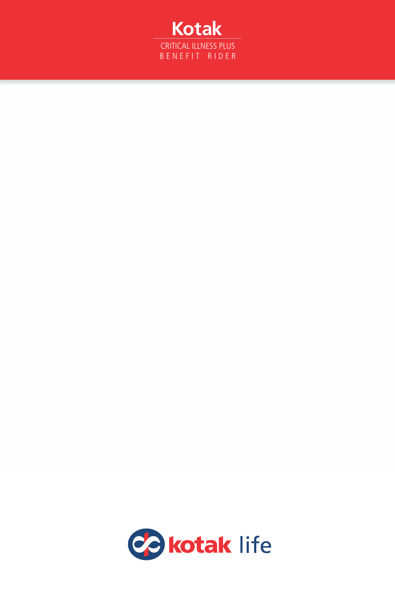

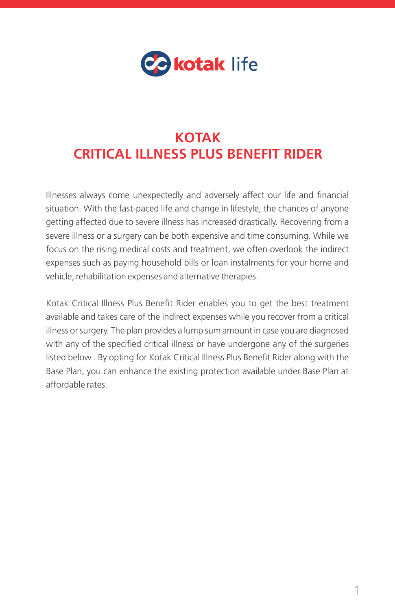

# **KOTAK CRITICAL ILLNESS PLUS BENEFIT RIDER**

Illnesses always come unexpectedly and adversely affect our life and financial situation. With the fast-paced life and change in lifestyle, the chances of anyone getting affected due to severe illness has increased drastically. Recovering from a severe illness or a surgery can be both expensive and time consuming. While we focus on the rising medical costs and treatment, we often overlook the indirect expenses such as paying household bills or loan instalments for your home and vehicle, rehabilitation expenses and alternative therapies.

Kotak Critical Illness Plus Benefit Rider enables you to get the best treatment available and takes care of the indirect expenses while you recover from a critical illness or surgery. The plan provides a lump sum amount in case you are diagnosed with any of the specified critical illness or have undergone any of the surgeries listed below . By opting for Kotak Critical Illness Plus Benefit Rider along with the Base Plan, you can enhance the existing protection available under Base Plan at affordable rates.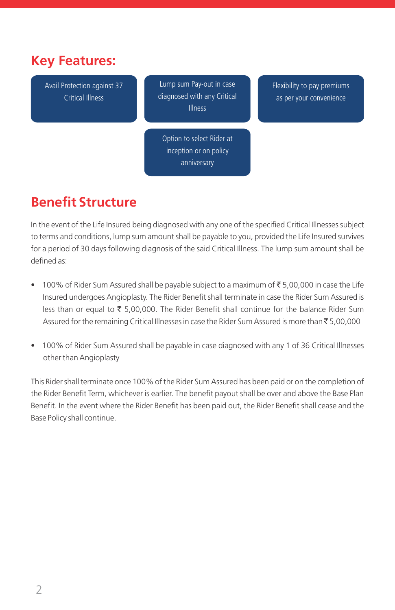# **Key Features:**

Avail Protection against 37 Critical Illness

Lump sum Pay-out in case diagnosed with any Critical Illness

Flexibility to pay premiums as per your convenience

Option to select Rider at inception or on policy anniversary

# **Benefit Structure**

In the event of the Life Insured being diagnosed with any one of the specified Critical Illnesses subject to terms and conditions, lump sum amount shall be payable to you, provided the Life Insured survives for a period of 30 days following diagnosis of the said Critical Illness. The lump sum amount shall be defined as:

- 100% of Rider Sum Assured shall be payable subject to a maximum of  $\bar{\tau}$  5,00,000 in case the Life Insured undergoes Angioplasty. The Rider Benefit shall terminate in case the Rider Sum Assured is less than or equal to  $\overline{\xi}$  5,00,000. The Rider Benefit shall continue for the balance Rider Sum Assured for the remaining Critical Illnesses in case the Rider Sum Assured is more than ₹5,00,000
- 100% of Rider Sum Assured shall be payable in case diagnosed with any 1 of 36 Critical Illnesses other than Angioplasty

This Rider shall terminate once 100% of the Rider Sum Assured has been paid or on the completion of the Rider Benefit Term, whichever is earlier. The benefit payout shall be over and above the Base Plan Benefit. In the event where the Rider Benefit has been paid out, the Rider Benefit shall cease and the Base Policy shall continue.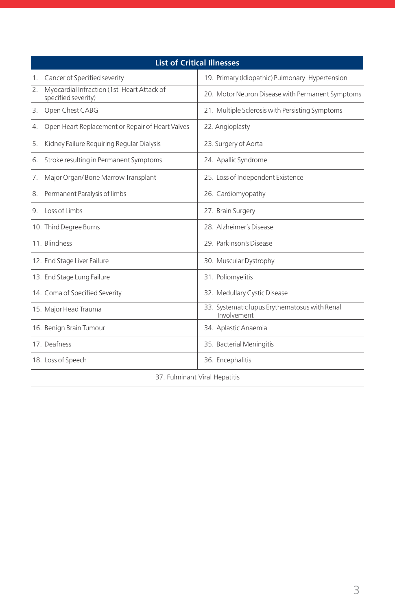| <b>List of Critical Illnesses</b> |                                                                   |                                                              |  |  |  |
|-----------------------------------|-------------------------------------------------------------------|--------------------------------------------------------------|--|--|--|
| 1.                                | Cancer of Specified severity                                      | 19. Primary (Idiopathic) Pulmonary Hypertension              |  |  |  |
| 2.                                | Myocardial Infraction (1st Heart Attack of<br>specified severity) | 20. Motor Neuron Disease with Permanent Symptoms             |  |  |  |
| 3.                                | Open Chest CABG                                                   | 21. Multiple Sclerosis with Persisting Symptoms              |  |  |  |
| 4.                                | Open Heart Replacement or Repair of Heart Valves                  | 22. Angioplasty                                              |  |  |  |
| 5.                                | Kidney Failure Requiring Regular Dialysis                         | 23. Surgery of Aorta                                         |  |  |  |
| 6.                                | Stroke resulting in Permanent Symptoms                            | 24. Apallic Syndrome                                         |  |  |  |
| 7.                                | Major Organ/Bone Marrow Transplant                                | 25. Loss of Independent Existence                            |  |  |  |
| 8.                                | Permanent Paralysis of limbs                                      | 26. Cardiomyopathy                                           |  |  |  |
|                                   | 9. Loss of Limbs                                                  | 27. Brain Surgery                                            |  |  |  |
|                                   | 10. Third Degree Burns                                            | 28 Alzheimer's Disease                                       |  |  |  |
|                                   | 11 Blindness                                                      | 29 Parkinson's Disease                                       |  |  |  |
|                                   | 12. End Stage Liver Failure                                       | 30. Muscular Dystrophy                                       |  |  |  |
|                                   | 13. End Stage Lung Failure                                        | 31. Poliomyelitis                                            |  |  |  |
|                                   | 14. Coma of Specified Severity                                    | 32. Medullary Cystic Disease                                 |  |  |  |
|                                   | 15. Major Head Trauma                                             | 33. Systematic lupus Erythematosus with Renal<br>Involvement |  |  |  |
|                                   | 16. Benign Brain Tumour                                           | 34. Aplastic Anaemia                                         |  |  |  |
|                                   | 17. Deafness                                                      | 35. Bacterial Meningitis                                     |  |  |  |
|                                   | 18. Loss of Speech                                                | 36. Encephalitis                                             |  |  |  |
|                                   |                                                                   |                                                              |  |  |  |

37. Fulminant Viral Hepatitis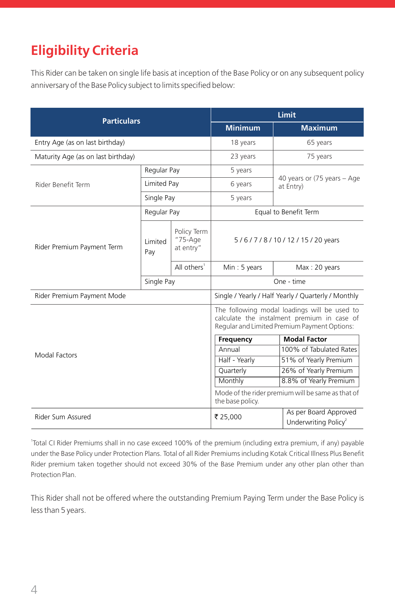# **Eligibility Criteria**

This Rider can be taken on single life basis at inception of the Base Policy or on any subsequent policy anniversary of the Base Policy subject to limits specified below:

| <b>Particulars</b>                 |                       | <b>Limit</b>                                                                                                                                |                                                                       |                                                           |
|------------------------------------|-----------------------|---------------------------------------------------------------------------------------------------------------------------------------------|-----------------------------------------------------------------------|-----------------------------------------------------------|
|                                    |                       | <b>Minimum</b>                                                                                                                              | Maximum                                                               |                                                           |
| Entry Age (as on last birthday)    |                       | 18 years                                                                                                                                    | 65 years                                                              |                                                           |
| Maturity Age (as on last birthday) |                       | 23 years                                                                                                                                    | 75 years                                                              |                                                           |
|                                    | Regular Pay           |                                                                                                                                             | 5 years                                                               |                                                           |
| Rider Benefit Term                 | Limited Pay           |                                                                                                                                             | 6 years                                                               | 40 years or (75 years - Age<br>at Entry)                  |
|                                    | Single Pay            |                                                                                                                                             | 5 years                                                               |                                                           |
|                                    | Regular Pay           |                                                                                                                                             | Equal to Benefit Term                                                 |                                                           |
| Rider Premium Payment Term         | <b>Limited</b><br>Pay | Policy Term<br>$"75-Aqe$<br>at entry"                                                                                                       | 5/6/7/8/10/12/15/20 years                                             |                                                           |
|                                    |                       | All others <sup>1</sup>                                                                                                                     | Min: 5 years                                                          | Max: 20 years                                             |
|                                    | Single Pay            |                                                                                                                                             | One - time                                                            |                                                           |
| Rider Premium Payment Mode         |                       | Single / Yearly / Half Yearly / Quarterly / Monthly                                                                                         |                                                                       |                                                           |
|                                    |                       | The following modal loadings will be used to<br>calculate the instalment premium in case of<br>Regular and Limited Premium Payment Options: |                                                                       |                                                           |
| Modal Factors                      |                       |                                                                                                                                             | Frequency                                                             | <b>Modal Factor</b>                                       |
|                                    |                       |                                                                                                                                             | Annual                                                                | 100% of Tabulated Rates                                   |
|                                    |                       |                                                                                                                                             | Half - Yearly                                                         | 51% of Yearly Premium                                     |
|                                    |                       |                                                                                                                                             | Quarterly                                                             | 26% of Yearly Premium                                     |
|                                    |                       | Monthly                                                                                                                                     | 8.8% of Yearly Premium                                                |                                                           |
|                                    |                       |                                                                                                                                             | Mode of the rider premium will be same as that of<br>the base policy. |                                                           |
| Rider Sum Assured                  |                       |                                                                                                                                             | ₹ 25,000                                                              | As per Board Approved<br>Underwriting Policy <sup>2</sup> |

1 Total CI Rider Premiums shall in no case exceed 100% of the premium (including extra premium, if any) payable under the Base Policy under Protection Plans. Total of all Rider Premiums including Kotak Critical Illness Plus Benefit Rider premium taken together should not exceed 30% of the Base Premium under any other plan other than Protection Plan.

This Rider shall not be offered where the outstanding Premium Paying Term under the Base Policy is less than 5 years.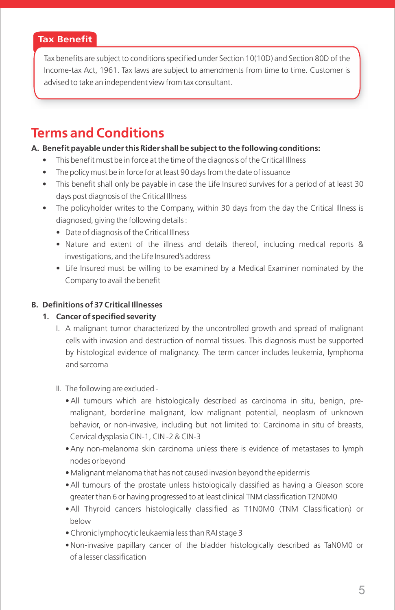# **Tax Benefit**

Tax benefits are subject to conditions specified under Section 10(10D) and Section 80D of the Income-tax Act, 1961. Tax laws are subject to amendments from time to time. Customer is advised to take an independent view from tax consultant.

# **Terms and Conditions**

#### **A. Benefit payable under this Rider shall be subject to the following conditions:**

- This benefit must be in force at the time of the diagnosis of the Critical Illness
- The policy must be in force for at least 90 days from the date of issuance
- This benefit shall only be payable in case the Life Insured survives for a period of at least 30 days post diagnosis of the Critical Illness
- The policyholder writes to the Company, within 30 days from the day the Critical Illness is diagnosed, giving the following details :
	- Date of diagnosis of the Critical Illness
	- Nature and extent of the illness and details thereof, including medical reports & investigations, and the Life Insured's address
	- Life Insured must be willing to be examined by a Medical Examiner nominated by the Company to avail the benefit

# **B. Definitions of 37 Critical Illnesses**

# **1. Cancer of specified severity**

- I. A malignant tumor characterized by the uncontrolled growth and spread of malignant cells with invasion and destruction of normal tissues. This diagnosis must be supported by histological evidence of malignancy. The term cancer includes leukemia, lymphoma and sarcoma
- II. The following are excluded
	- All tumours which are histologically described as carcinoma in situ, benign, premalignant, borderline malignant, low malignant potential, neoplasm of unknown behavior, or non-invasive, including but not limited to: Carcinoma in situ of breasts, Cervical dysplasia CIN-1, CIN -2 & CIN-3
	- Any non-melanoma skin carcinoma unless there is evidence of metastases to lymph nodes or beyond
	- Malignant melanoma that has not caused invasion beyond the epidermis
	- All tumours of the prostate unless histologically classified as having a Gleason score greater than 6 or having progressed to at least clinical TNM classification T2N0M0
	- All Thyroid cancers histologically classified as T1N0M0 (TNM Classification) or below
	- Chronic lymphocytic leukaemia less than RAI stage 3
	- Non-invasive papillary cancer of the bladder histologically described as TaN0M0 or of a lesser classification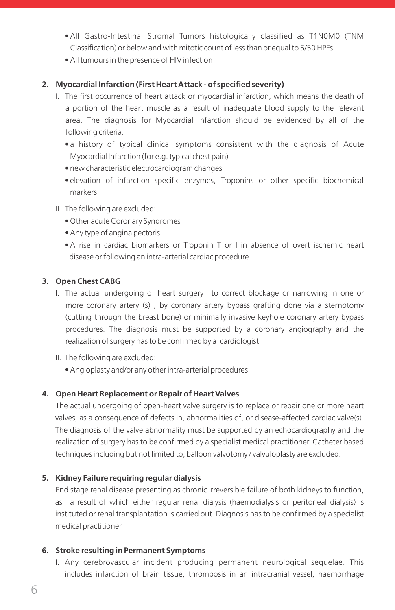- All Gastro-Intestinal Stromal Tumors histologically classified as T1N0M0 (TNM Classification) or below and with mitotic count of less than or equal to 5/50 HPFs
- All tumours in the presence of HIV infection

#### **2. Myocardial Infarction (First Heart Attack - of specified severity)**

- I. The first occurrence of heart attack or myocardial infarction, which means the death of a portion of the heart muscle as a result of inadequate blood supply to the relevant area. The diagnosis for Myocardial Infarction should be evidenced by all of the following criteria:
	- a history of typical clinical symptoms consistent with the diagnosis of Acute Myocardial Infarction (for e.g. typical chest pain)
	- new characteristic electrocardiogram changes
	- elevation of infarction specific enzymes, Troponins or other specific biochemical markers
- II. The following are excluded:
	- Other acute Coronary Syndromes
	- Any type of angina pectoris
	- A rise in cardiac biomarkers or Troponin T or I in absence of overt ischemic heart disease or following an intra-arterial cardiac procedure

#### **3. Open Chest CABG**

- I. The actual undergoing of heart surgery to correct blockage or narrowing in one or more coronary artery (s) , by coronary artery bypass grafting done via a sternotomy (cutting through the breast bone) or minimally invasive keyhole coronary artery bypass procedures. The diagnosis must be supported by a coronary angiography and the realization of surgery has to be confirmed by a cardiologist
- II. The following are excluded:
	- Angioplasty and/or any other intra-arterial procedures

# **4. Open Heart Replacement or Repair of Heart Valves**

 The actual undergoing of open-heart valve surgery is to replace or repair one or more heart valves, as a consequence of defects in, abnormalities of, or disease-affected cardiac valve(s). The diagnosis of the valve abnormality must be supported by an echocardiography and the realization of surgery has to be confirmed by a specialist medical practitioner. Catheter based techniques including but not limited to, balloon valvotomy / valvuloplasty are excluded.

#### **5. Kidney Failure requiring regular dialysis**

 End stage renal disease presenting as chronic irreversible failure of both kidneys to function, as a result of which either regular renal dialysis (haemodialysis or peritoneal dialysis) is instituted or renal transplantation is carried out. Diagnosis has to be confirmed by a specialist medical practitioner.

#### **6. Stroke resulting in Permanent Symptoms**

 I. Any cerebrovascular incident producing permanent neurological sequelae. This includes infarction of brain tissue, thrombosis in an intracranial vessel, haemorrhage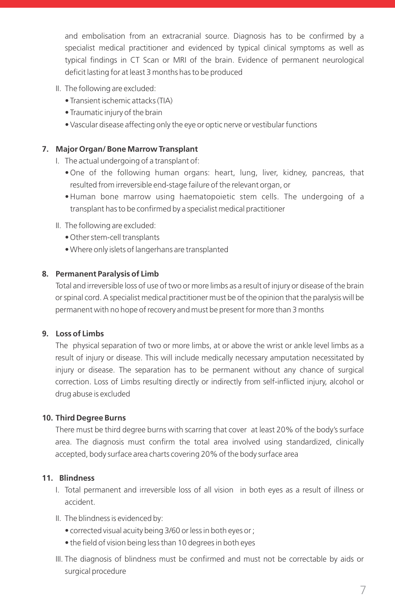and embolisation from an extracranial source. Diagnosis has to be confirmed by a specialist medical practitioner and evidenced by typical clinical symptoms as well as typical findings in CT Scan or MRI of the brain. Evidence of permanent neurological deficit lasting for at least 3 months has to be produced

- II. The following are excluded:
	- Transient ischemic attacks (TIA)
	- Traumatic injury of the brain
	- Vascular disease affecting only the eye or optic nerve or vestibular functions

#### **7. Major Organ/ Bone Marrow Transplant**

- I. The actual undergoing of a transplant of:
	- One of the following human organs: heart, lung, liver, kidney, pancreas, that resulted from irreversible end-stage failure of the relevant organ, or
	- Human bone marrow using haematopoietic stem cells. The undergoing of a transplant has to be confirmed by a specialist medical practitioner
- II. The following are excluded:
	- Other stem-cell transplants
	- Where only islets of langerhans are transplanted

#### **8. Permanent Paralysis of Limb**

 Total and irreversible loss of use of two or more limbs as a result of injury or disease of the brain or spinal cord. A specialist medical practitioner must be of the opinion that the paralysis will be permanent with no hope of recovery and must be present for more than 3 months

### **9. Loss of Limbs**

 The physical separation of two or more limbs, at or above the wrist or ankle level limbs as a result of injury or disease. This will include medically necessary amputation necessitated by injury or disease. The separation has to be permanent without any chance of surgical correction. Loss of Limbs resulting directly or indirectly from self-inflicted injury, alcohol or drug abuse is excluded

#### **10. Third Degree Burns**

 There must be third degree burns with scarring that cover at least 20% of the body's surface area. The diagnosis must confirm the total area involved using standardized, clinically accepted, body surface area charts covering 20% of the body surface area

#### **11. Blindness**

- I. Total permanent and irreversible loss of all vision in both eyes as a result of illness or accident.
- II. The blindness is evidenced by:
	- corrected visual acuity being 3/60 or less in both eyes or ;
	- the field of vision being less than 10 degrees in both eyes
- III. The diagnosis of blindness must be confirmed and must not be correctable by aids or surgical procedure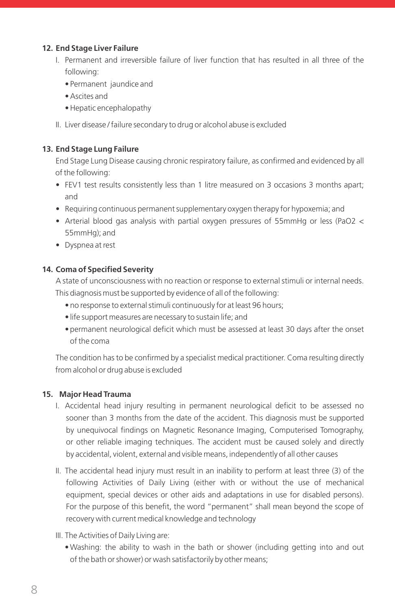#### **12. End Stage Liver Failure**

- I. Permanent and irreversible failure of liver function that has resulted in all three of the following:
	- Permanent jaundice and
	- Ascites and
	- Hepatic encephalopathy
- II. Liver disease / failure secondary to drug or alcohol abuse is excluded

### **13. End Stage Lung Failure**

 End Stage Lung Disease causing chronic respiratory failure, as confirmed and evidenced by all of the following:

- FEV1 test results consistently less than 1 litre measured on 3 occasions 3 months apart; and
- Requiring continuous permanent supplementary oxygen therapy for hypoxemia; and
- Arterial blood gas analysis with partial oxygen pressures of 55mmHg or less (PaO2 < 55mmHg); and
- Dyspnea at rest

#### **14. Coma of Specified Severity**

 A state of unconsciousness with no reaction or response to external stimuli or internal needs. This diagnosis must be supported by evidence of all of the following:

- no response to external stimuli continuously for at least 96 hours;
- life support measures are necessary to sustain life; and
- permanent neurological deficit which must be assessed at least 30 days after the onset of the coma

 The condition has to be confirmed by a specialist medical practitioner. Coma resulting directly from alcohol or drug abuse is excluded

# **15. Major Head Trauma**

- I. Accidental head injury resulting in permanent neurological deficit to be assessed no sooner than 3 months from the date of the accident. This diagnosis must be supported by unequivocal findings on Magnetic Resonance Imaging, Computerised Tomography, or other reliable imaging techniques. The accident must be caused solely and directly by accidental, violent, external and visible means, independently of all other causes
- II. The accidental head injury must result in an inability to perform at least three (3) of the following Activities of Daily Living (either with or without the use of mechanical equipment, special devices or other aids and adaptations in use for disabled persons). For the purpose of this benefit, the word "permanent" shall mean beyond the scope of recovery with current medical knowledge and technology
- III. The Activities of Daily Living are:
	- Washing: the ability to wash in the bath or shower (including getting into and out of the bath or shower) or wash satisfactorily by other means;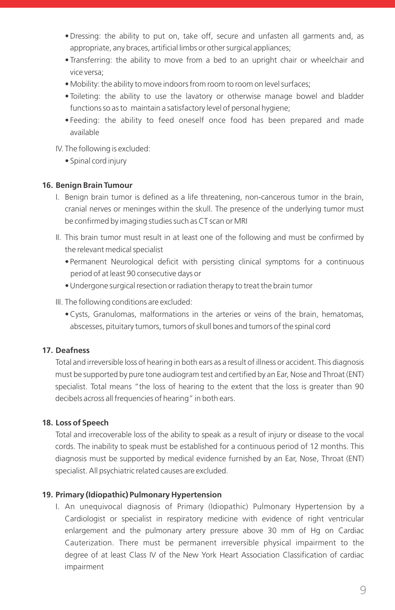- Dressing: the ability to put on, take off, secure and unfasten all garments and, as appropriate, any braces, artificial limbs or other surgical appliances;
- Transferring: the ability to move from a bed to an upright chair or wheelchair and vice versa;
- Mobility: the ability to move indoors from room to room on level surfaces;
- Toileting: the ability to use the lavatory or otherwise manage bowel and bladder functions so as to maintain a satisfactory level of personal hygiene;
- Feeding: the ability to feed oneself once food has been prepared and made available

IV. The following is excluded:

• Spinal cord injury

#### **16. Benign Brain Tumour**

- I. Benign brain tumor is defined as a life threatening, non-cancerous tumor in the brain, cranial nerves or meninges within the skull. The presence of the underlying tumor must be confirmed by imaging studies such as CT scan or MRI
- II. This brain tumor must result in at least one of the following and must be confirmed by the relevant medical specialist
	- Permanent Neurological deficit with persisting clinical symptoms for a continuous period of at least 90 consecutive days or
	- Undergone surgical resection or radiation therapy to treat the brain tumor
- III. The following conditions are excluded:
	- Cysts, Granulomas, malformations in the arteries or veins of the brain, hematomas, abscesses, pituitary tumors, tumors of skull bones and tumors of the spinal cord

# **17. Deafness**

 Total and irreversible loss of hearing in both ears as a result of illness or accident. This diagnosis must be supported by pure tone audiogram test and certified by an Ear, Nose and Throat (ENT) specialist. Total means "the loss of hearing to the extent that the loss is greater than 90 decibels across all frequencies of hearing" in both ears.

#### **18. Loss of Speech**

 Total and irrecoverable loss of the ability to speak as a result of injury or disease to the vocal cords. The inability to speak must be established for a continuous period of 12 months. This diagnosis must be supported by medical evidence furnished by an Ear, Nose, Throat (ENT) specialist. All psychiatric related causes are excluded.

# **19. Primary (Idiopathic) Pulmonary Hypertension**

 I. An unequivocal diagnosis of Primary (Idiopathic) Pulmonary Hypertension by a Cardiologist or specialist in respiratory medicine with evidence of right ventricular enlargement and the pulmonary artery pressure above 30 mm of Hg on Cardiac Cauterization. There must be permanent irreversible physical impairment to the degree of at least Class IV of the New York Heart Association Classification of cardiac impairment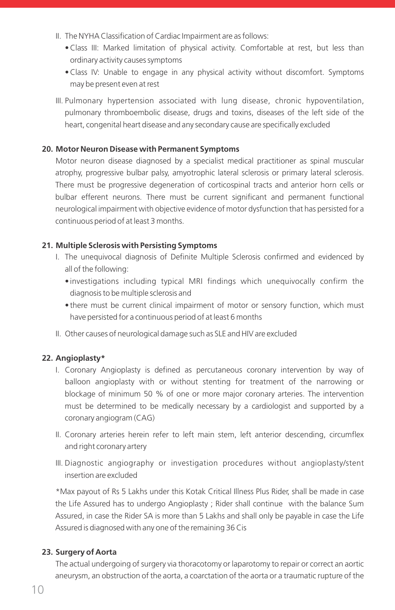- II. The NYHA Classification of Cardiac Impairment are as follows:
	- Class III: Marked limitation of physical activity. Comfortable at rest, but less than ordinary activity causes symptoms
	- Class IV: Unable to engage in any physical activity without discomfort. Symptoms may be present even at rest
- III. Pulmonary hypertension associated with lung disease, chronic hypoventilation, pulmonary thromboembolic disease, drugs and toxins, diseases of the left side of the heart, congenital heart disease and any secondary cause are specifically excluded

#### **20. Motor Neuron Disease with Permanent Symptoms**

 Motor neuron disease diagnosed by a specialist medical practitioner as spinal muscular atrophy, progressive bulbar palsy, amyotrophic lateral sclerosis or primary lateral sclerosis. There must be progressive degeneration of corticospinal tracts and anterior horn cells or bulbar efferent neurons. There must be current significant and permanent functional neurological impairment with objective evidence of motor dysfunction that has persisted for a continuous period of at least 3 months.

#### **21. Multiple Sclerosis with Persisting Symptoms**

- I. The unequivocal diagnosis of Definite Multiple Sclerosis confirmed and evidenced by all of the following:
	- investigations including typical MRI findings which unequivocally confirm the diagnosis to be multiple sclerosis and
	- there must be current clinical impairment of motor or sensory function, which must have persisted for a continuous period of at least 6 months
- II. Other causes of neurological damage such as SLE and HIV are excluded

#### **22. Angioplasty\***

- I. Coronary Angioplasty is defined as percutaneous coronary intervention by way of balloon angioplasty with or without stenting for treatment of the narrowing or blockage of minimum 50 % of one or more major coronary arteries. The intervention must be determined to be medically necessary by a cardiologist and supported by a coronary angiogram (CAG)
- II. Coronary arteries herein refer to left main stem, left anterior descending, circumflex and right coronary artery
- III. Diagnostic angiography or investigation procedures without angioplasty/stent insertion are excluded

 \*Max payout of Rs 5 Lakhs under this Kotak Critical Illness Plus Rider, shall be made in case the Life Assured has to undergo Angioplasty ; Rider shall continue with the balance Sum Assured, in case the Rider SA is more than 5 Lakhs and shall only be payable in case the Life Assured is diagnosed with any one of the remaining 36 Cis

#### **23. Surgery of Aorta**

 The actual undergoing of surgery via thoracotomy or laparotomy to repair or correct an aortic aneurysm, an obstruction of the aorta, a coarctation of the aorta or a traumatic rupture of the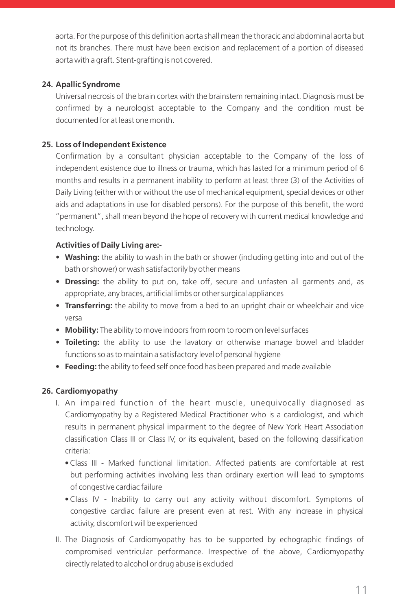aorta. For the purpose of this definition aorta shall mean the thoracic and abdominal aorta but not its branches. There must have been excision and replacement of a portion of diseased aorta with a graft. Stent-grafting is not covered.

### **24. Apallic Syndrome**

 Universal necrosis of the brain cortex with the brainstem remaining intact. Diagnosis must be confirmed by a neurologist acceptable to the Company and the condition must be documented for at least one month.

#### **25. Loss of Independent Existence**

 Confirmation by a consultant physician acceptable to the Company of the loss of independent existence due to illness or trauma, which has lasted for a minimum period of 6 months and results in a permanent inability to perform at least three (3) of the Activities of Daily Living (either with or without the use of mechanical equipment, special devices or other aids and adaptations in use for disabled persons). For the purpose of this benefit, the word "permanent", shall mean beyond the hope of recovery with current medical knowledge and technology.

#### **Activities of Daily Living are:-**

- **Washing:** the ability to wash in the bath or shower (including getting into and out of the bath or shower) or wash satisfactorily by other means
- **Dressing:** the ability to put on, take off, secure and unfasten all garments and, as appropriate, any braces, artificial limbs or other surgical appliances
- • **Transferring:** the ability to move from a bed to an upright chair or wheelchair and vice versa
- • **Mobility:** The ability to move indoors from room to room on level surfaces
- • **Toileting:** the ability to use the lavatory or otherwise manage bowel and bladder functions so as to maintain a satisfactory level of personal hygiene
- • **Feeding:** the ability to feed self once food has been prepared and made available

#### **26. Cardiomyopathy**

- I. An impaired function of the heart muscle, unequivocally diagnosed as Cardiomyopathy by a Registered Medical Practitioner who is a cardiologist, and which results in permanent physical impairment to the degree of New York Heart Association classification Class III or Class IV, or its equivalent, based on the following classification criteria:
	- Class III Marked functional limitation. Affected patients are comfortable at rest but performing activities involving less than ordinary exertion will lead to symptoms of congestive cardiac failure
	- Class IV Inability to carry out any activity without discomfort. Symptoms of congestive cardiac failure are present even at rest. With any increase in physical activity, discomfort will be experienced
- II. The Diagnosis of Cardiomyopathy has to be supported by echographic findings of compromised ventricular performance. Irrespective of the above, Cardiomyopathy directly related to alcohol or drug abuse is excluded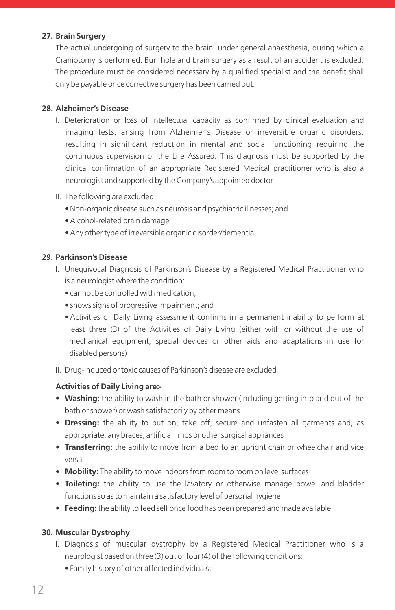#### **27. Brain Surgery**

 The actual undergoing of surgery to the brain, under general anaesthesia, during which a Craniotomy is performed. Burr hole and brain surgery as a result of an accident is excluded. The procedure must be considered necessary by a qualified specialist and the benefit shall only be payable once corrective surgery has been carried out.

#### **28. Alzheimer's Disease**

- I. Deterioration or loss of intellectual capacity as confirmed by clinical evaluation and imaging tests, arising from Alzheimer's Disease or irreversible organic disorders, resulting in significant reduction in mental and social functioning requiring the continuous supervision of the Life Assured. This diagnosis must be supported by the clinical confirmation of an appropriate Registered Medical practitioner who is also a neurologist and supported by the Company's appointed doctor
- II. The following are excluded:
	- Non-organic disease such as neurosis and psychiatric illnesses; and
	- Alcohol-related brain damage
	- Any other type of irreversible organic disorder/dementia

#### **29. Parkinson's Disease**

- I. Unequivocal Diagnosis of Parkinson's Disease by a Registered Medical Practitioner who is a neurologist where the condition:
	- cannot be controlled with medication;
	- shows signs of progressive impairment; and
	- Activities of Daily Living assessment confirms in a permanent inability to perform at least three (3) of the Activities of Daily Living (either with or without the use of mechanical equipment, special devices or other aids and adaptations in use for disabled persons)
- II. Drug-induced or toxic causes of Parkinson's disease are excluded

# **Activities of Daily Living are:-**

- Washing: the ability to wash in the bath or shower (including getting into and out of the bath or shower) or wash satisfactorily by other means
- • **Dressing:** the ability to put on, take off, secure and unfasten all garments and, as appropriate, any braces, artificial limbs or other surgical appliances
- • **Transferring:** the ability to move from a bed to an upright chair or wheelchair and vice versa
- • **Mobility:** The ability to move indoors from room to room on level surfaces
- **Toileting:** the ability to use the lavatory or otherwise manage bowel and bladder functions so as to maintain a satisfactory level of personal hygiene
- • **Feeding:** the ability to feed self once food has been prepared and made available

# **30. Muscular Dystrophy**

- I. Diagnosis of muscular dystrophy by a Registered Medical Practitioner who is a neurologist based on three (3) out of four (4) of the following conditions:
	- Family history of other affected individuals;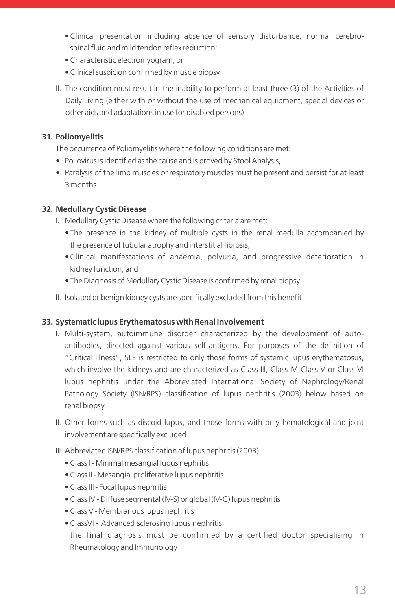- Clinical presentation including absence of sensory disturbance, normal cerebro spinal fluid and mild tendon reflex reduction;
- Characteristic electromyogram; or
- Clinical suspicion confirmed by muscle biopsy
- II. The condition must result in the inability to perform at least three (3) of the Activities of Daily Living (either with or without the use of mechanical equipment, special devices or other aids and adaptations in use for disabled persons)

#### **31. Poliomyelitis**

The occurrence of Poliomyelitis where the following conditions are met:

- Poliovirus is identified as the cause and is proved by Stool Analysis,
- Paralysis of the limb muscles or respiratory muscles must be present and persist for at least 3 months

#### **32. Medullary Cystic Disease**

- I. Medullary Cystic Disease where the following criteria are met:
	- The presence in the kidney of multiple cysts in the renal medulla accompanied by the presence of tubular atrophy and interstitial fibrosis;
	- Clinical manifestations of anaemia, polyuria, and progressive deterioration in kidney function; and
	- The Diagnosis of Medullary Cystic Disease is confirmed by renal biopsy
- II. Isolated or benign kidney cysts are specifically excluded from this benefit

#### **33. Systematic lupus Erythematosus with Renal Involvement**

- I. Multi-system, autoimmune disorder characterized by the development of autoantibodies, directed against various self-antigens. For purposes of the definition of "Critical Illness", SLE is restricted to only those forms of systemic lupus erythematosus, which involve the kidneys and are characterized as Class III, Class IV, Class V or Class VI lupus nephritis under the Abbreviated International Society of Nephrology/Renal Pathology Society (ISN/RPS) classification of lupus nephritis (2003) below based on renal biopsy
- II. Other forms such as discoid lupus, and those forms with only hematological and joint involvement are specifically excluded
- III. Abbreviated ISN/RPS classification of lupus nephritis (2003):
	- Class I Minimal mesangial lupus nephritis
	- Class II Mesangial proliferative lupus nephritis
	- Class III Focal lupus nephritis
	- Class IV Diffuse segmental (IV-S) or global (IV-G) lupus nephritis
	- Class V Membranous lupus nephritis
	- ClassVI Advanced sclerosing lupus nephritis

 the final diagnosis must be confirmed by a certified doctor specialising in Rheumatology and Immunology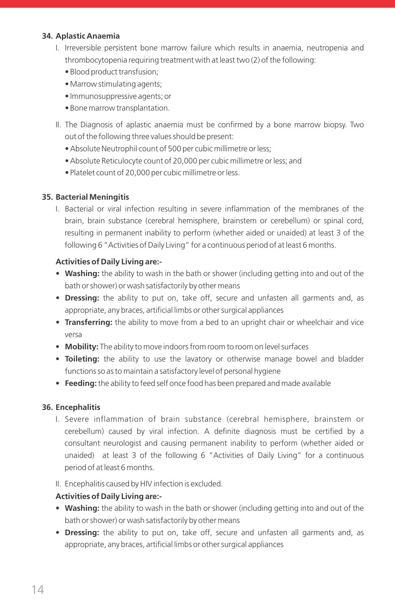### **34. Aplastic Anaemia**

- I. Irreversible persistent bone marrow failure which results in anaemia, neutropenia and thrombocytopenia requiring treatment with at least two (2) of the following:
	- Blood product transfusion;
	- Marrow stimulating agents;
	- Immunosuppressive agents; or
	- Bone marrow transplantation.
- II. The Diagnosis of aplastic anaemia must be confirmed by a bone marrow biopsy. Two out of the following three values should be present:
	- Absolute Neutrophil count of 500 per cubic millimetre or less;
	- Absolute Reticulocyte count of 20,000 per cubic millimetre or less; and
	- Platelet count of 20,000 per cubic millimetre or less.

#### **35. Bacterial Meningitis**

 I. Bacterial or viral infection resulting in severe inflammation of the membranes of the brain, brain substance (cerebral hemisphere, brainstem or cerebellum) or spinal cord, resulting in permanent inability to perform (whether aided or unaided) at least 3 of the following 6 "Activities of Daily Living" for a continuous period of at least 6 months.

#### **Activities of Daily Living are:-**

- Washing: the ability to wash in the bath or shower (including getting into and out of the bath or shower) or wash satisfactorily by other means
- • **Dressing:** the ability to put on, take off, secure and unfasten all garments and, as appropriate, any braces, artificial limbs or other surgical appliances
- • **Transferring:** the ability to move from a bed to an upright chair or wheelchair and vice versa
- **Mobility:** The ability to move indoors from room to room on level surfaces
- • **Toileting:** the ability to use the lavatory or otherwise manage bowel and bladder functions so as to maintain a satisfactory level of personal hygiene
- • **Feeding:** the ability to feed self once food has been prepared and made available

#### **36. Encephalitis**

- I. Severe inflammation of brain substance (cerebral hemisphere, brainstem or cerebellum) caused by viral infection. A definite diagnosis must be certified by a consultant neurologist and causing permanent inability to perform (whether aided or unaided) at least 3 of the following 6 "Activities of Daily Living" for a continuous period of at least 6 months.
- II. Encephalitis caused by HIV infection is excluded.

#### **Activities of Daily Living are:-**

- Washing: the ability to wash in the bath or shower (including getting into and out of the bath or shower) or wash satisfactorily by other means
- • **Dressing:** the ability to put on, take off, secure and unfasten all garments and, as appropriate, any braces, artificial limbs or other surgical appliances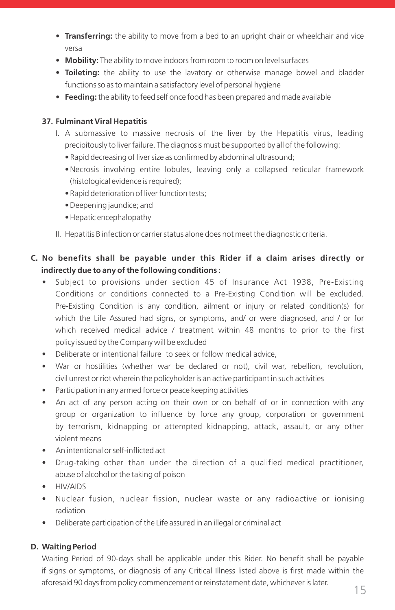- • **Transferring:** the ability to move from a bed to an upright chair or wheelchair and vice versa
- Mobility: The ability to move indoors from room to room on level surfaces
- • **Toileting:** the ability to use the lavatory or otherwise manage bowel and bladder functions so as to maintain a satisfactory level of personal hygiene
- • **Feeding:** the ability to feed self once food has been prepared and made available

#### **37. Fulminant Viral Hepatitis**

- I. A submassive to massive necrosis of the liver by the Hepatitis virus, leading precipitously to liver failure. The diagnosis must be supported by all of the following:
	- Rapid decreasing of liver size as confirmed by abdominal ultrasound;
	- Necrosis involving entire lobules, leaving only a collapsed reticular framework (histological evidence is required);
	- Rapid deterioration of liver function tests;
	- Deepening jaundice; and
	- Hepatic encephalopathy
- II. Hepatitis B infection or carrier status alone does not meet the diagnostic criteria.

# **C. No benefits shall be payable under this Rider if a claim arises directly or indirectly due to any of the following conditions :**

- Subject to provisions under section 45 of Insurance Act 1938, Pre-Existing Conditions or conditions connected to a Pre-Existing Condition will be excluded. Pre-Existing Condition is any condition, ailment or injury or related condition(s) for which the Life Assured had signs, or symptoms, and/ or were diagnosed, and / or for which received medical advice / treatment within 48 months to prior to the first policy issued by the Company will be excluded
- Deliberate or intentional failure to seek or follow medical advice,
- War or hostilities (whether war be declared or not), civil war, rebellion, revolution, civil unrest or riot wherein the policyholder is an active participant in such activities
- Participation in any armed force or peace keeping activities
- An act of any person acting on their own or on behalf of or in connection with any group or organization to influence by force any group, corporation or government by terrorism, kidnapping or attempted kidnapping, attack, assault, or any other violent means
- An intentional or self-inflicted act
- Drug-taking other than under the direction of a qualified medical practitioner, abuse of alcohol or the taking of poison
- HIV/AIDS
- Nuclear fusion, nuclear fission, nuclear waste or any radioactive or ionising radiation
- Deliberate participation of the Life assured in an illegal or criminal act

# **D. Waiting Period**

 Waiting Period of 90-days shall be applicable under this Rider. No benefit shall be payable if signs or symptoms, or diagnosis of any Critical Illness listed above is first made within the aforesaid 90 days from policy commencement or reinstatement date, whichever is later.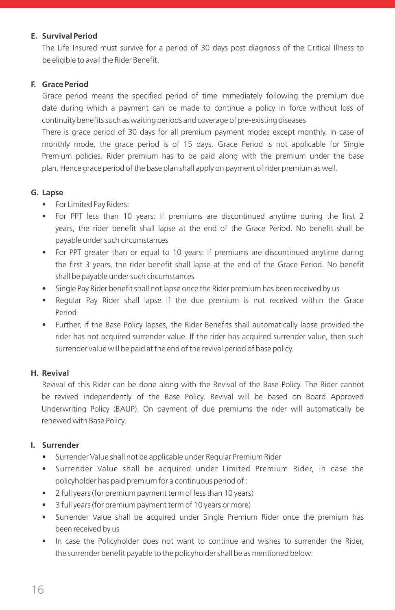### **E. Survival Period**

 The Life Insured must survive for a period of 30 days post diagnosis of the Critical Illness to be eligible to avail the Rider Benefit.

#### **F. Grace Period**

Grace period means the specified period of time immediately following the premium due date during which a payment can be made to continue a policy in force without loss of continuity benefits such as waiting periods and coverage of pre-existing diseases

 There is grace period of 30 days for all premium payment modes except monthly. In case of monthly mode, the grace period is of 15 days. Grace Period is not applicable for Single Premium policies. Rider premium has to be paid along with the premium under the base plan. Hence grace period of the base plan shall apply on payment of rider premium as well.

#### **G. Lapse**

- For Limited Pay Riders:
- For PPT less than 10 years: If premiums are discontinued anytime during the first 2 years, the rider benefit shall lapse at the end of the Grace Period. No benefit shall be payable under such circumstances
- For PPT greater than or equal to 10 years: If premiums are discontinued anytime during the first 3 years, the rider benefit shall lapse at the end of the Grace Period. No benefit shall be payable under such circumstances
- Single Pay Rider benefit shall not lapse once the Rider premium has been received by us
- Regular Pay Rider shall lapse if the due premium is not received within the Grace Period
- Further, if the Base Policy lapses, the Rider Benefits shall automatically lapse provided the rider has not acquired surrender value. If the rider has acquired surrender value, then such surrender value will be paid at the end of the revival period of base policy.

#### **H. Revival**

 Revival of this Rider can be done along with the Revival of the Base Policy. The Rider cannot be revived independently of the Base Policy. Revival will be based on Board Approved Underwriting Policy (BAUP). On payment of due premiums the rider will automatically be renewed with Base Policy.

#### **I. Surrender**

- Surrender Value shall not be applicable under Regular Premium Rider
- Surrender Value shall be acquired under Limited Premium Rider, in case the policyholder has paid premium for a continuous period of :
- 2 full years (for premium payment term of less than 10 years)
- 3 full years (for premium payment term of 10 years or more)
- Surrender Value shall be acquired under Single Premium Rider once the premium has been received by us
- In case the Policyholder does not want to continue and wishes to surrender the Rider, the surrender benefit payable to the policyholder shall be as mentioned below: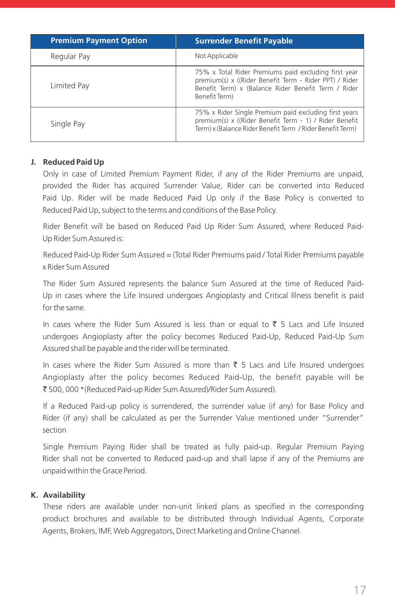| <b>Premium Payment Option</b> | <b>Surrender Benefit Payable</b>                                                                                                                                                       |
|-------------------------------|----------------------------------------------------------------------------------------------------------------------------------------------------------------------------------------|
| Regular Pay                   | Not Applicable                                                                                                                                                                         |
| Limited Pay                   | 75% x Total Rider Premiums paid excluding first year<br>premium(s) x ((Rider Benefit Term - Rider PPT) / Rider<br>Benefit Term) x (Balance Rider Benefit Term / Rider<br>Benefit Term) |
| Single Pay                    | 75% x Rider Single Premium paid excluding first years<br>premium(s) x ((Rider Benefit Term - 1) / Rider Benefit<br>Term) x (Balance Rider Benefit Term / Rider Benefit Term)           |

#### **J. Reduced Paid Up**

 Only in case of Limited Premium Payment Rider, if any of the Rider Premiums are unpaid, provided the Rider has acquired Surrender Value, Rider can be converted into Reduced Paid Up. Rider will be made Reduced Paid Up only if the Base Policy is converted to Reduced Paid Up, subject to the terms and conditions of the Base Policy.

 Rider Benefit will be based on Reduced Paid Up Rider Sum Assured, where Reduced Paid-Up Rider Sum Assured is:

 Reduced Paid-Up Rider Sum Assured = (Total Rider Premiums paid / Total Rider Premiums payable x Rider Sum Assured

 The Rider Sum Assured represents the balance Sum Assured at the time of Reduced Paid-Up in cases where the Life Insured undergoes Angioplasty and Critical Illness benefit is paid for the same.

In cases where the Rider Sum Assured is less than or equal to  $\bar{\tau}$  5 Lacs and Life Insured undergoes Angioplasty after the policy becomes Reduced Paid-Up, Reduced Paid-Up Sum Assured shall be payable and the rider will be terminated.

In cases where the Rider Sum Assured is more than  $\bar{\tau}$  5 Lacs and Life Insured undergoes Angioplasty after the policy becomes Reduced Paid-Up, the benefit payable will be ` 500, 000 \*(Reduced Paid-up Rider Sum Assured)/Rider Sum Assured).

 If a Reduced Paid-up policy is surrendered, the surrender value (if any) for Base Policy and Rider (if any) shall be calculated as per the Surrender Value mentioned under "Surrender" section

 Single Premium Paying Rider shall be treated as fully paid-up. Regular Premium Paying Rider shall not be converted to Reduced paid-up and shall lapse if any of the Premiums are unpaid within the Grace Period.

#### **K. Availability**

 These riders are available under non-unit linked plans as specified in the corresponding product brochures and available to be distributed through Individual Agents, Corporate Agents, Brokers, IMF, Web Aggregators, Direct Marketing and Online Channel.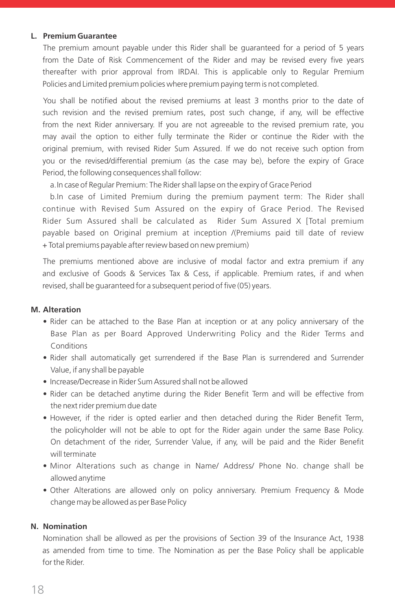#### **L. Premium Guarantee**

 The premium amount payable under this Rider shall be guaranteed for a period of 5 years from the Date of Risk Commencement of the Rider and may be revised every five years thereafter with prior approval from IRDAI. This is applicable only to Regular Premium Policies and Limited premium policies where premium paying term is not completed.

 You shall be notified about the revised premiums at least 3 months prior to the date of such revision and the revised premium rates, post such change, if any, will be effective from the next Rider anniversary. If you are not agreeable to the revised premium rate, you may avail the option to either fully terminate the Rider or continue the Rider with the original premium, with revised Rider Sum Assured. If we do not receive such option from you or the revised/differential premium (as the case may be), before the expiry of Grace Period, the following consequences shall follow:

a. In case of Regular Premium: The Rider shall lapse on the expiry of Grace Period

 b. In case of Limited Premium during the premium payment term: The Rider shall continue with Revised Sum Assured on the expiry of Grace Period. The Revised Rider Sum Assured shall be calculated as Rider Sum Assured X [Total premium payable based on Original premium at inception /(Premiums paid till date of review + Total premiums payable after review based on new premium)

 The premiums mentioned above are inclusive of modal factor and extra premium if any and exclusive of Goods & Services Tax & Cess, if applicable. Premium rates, if and when revised, shall be guaranteed for a subsequent period of five (05) years.

#### **M. Alteration**

- Rider can be attached to the Base Plan at inception or at any policy anniversary of the Base Plan as per Board Approved Underwriting Policy and the Rider Terms and Conditions
- Rider shall automatically get surrendered if the Base Plan is surrendered and Surrender Value, if any shall be payable
- Increase/Decrease in Rider Sum Assured shall not be allowed
- Rider can be detached anytime during the Rider Benefit Term and will be effective from the next rider premium due date
- However, if the rider is opted earlier and then detached during the Rider Benefit Term, the policyholder will not be able to opt for the Rider again under the same Base Policy. On detachment of the rider, Surrender Value, if any, will be paid and the Rider Benefit will terminate
- Minor Alterations such as change in Name/ Address/ Phone No. change shall be allowed anytime
- Other Alterations are allowed only on policy anniversary. Premium Frequency & Mode change may be allowed as per Base Policy

#### **N. Nomination**

 Nomination shall be allowed as per the provisions of Section 39 of the Insurance Act, 1938 as amended from time to time. The Nomination as per the Base Policy shall be applicable for the Rider.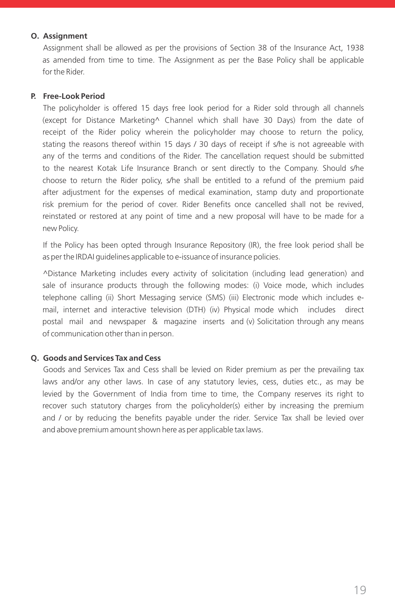#### **O. Assignment**

 Assignment shall be allowed as per the provisions of Section 38 of the Insurance Act, 1938 as amended from time to time. The Assignment as per the Base Policy shall be applicable for the Rider.

#### **P. Free-Look Period**

 The policyholder is offered 15 days free look period for a Rider sold through all channels (except for Distance Marketing^ Channel which shall have 30 Days) from the date of receipt of the Rider policy wherein the policyholder may choose to return the policy, stating the reasons thereof within 15 days / 30 days of receipt if s/he is not agreeable with any of the terms and conditions of the Rider. The cancellation request should be submitted to the nearest Kotak Life Insurance Branch or sent directly to the Company. Should s/he choose to return the Rider policy, s/he shall be entitled to a refund of the premium paid after adjustment for the expenses of medical examination, stamp duty and proportionate risk premium for the period of cover. Rider Benefits once cancelled shall not be revived, reinstated or restored at any point of time and a new proposal will have to be made for a new Policy.

 If the Policy has been opted through Insurance Repository (IR), the free look period shall be as per the IRDAI guidelines applicable to e-issuance of insurance policies.

 ^Distance Marketing includes every activity of solicitation (including lead generation) and sale of insurance products through the following modes: (i) Voice mode, which includes telephone calling (ii) Short Messaging service (SMS) (iii) Electronic mode which includes email, internet and interactive television (DTH) (iv) Physical mode which includes direct postal mail and newspaper & magazine inserts and (v) Solicitation through any means of communication other than in person.

#### **Q. Goods and Services Tax and Cess**

 Goods and Services Tax and Cess shall be levied on Rider premium as per the prevailing tax laws and/or any other laws. In case of any statutory levies, cess, duties etc., as may be levied by the Government of India from time to time, the Company reserves its right to recover such statutory charges from the policyholder(s) either by increasing the premium and / or by reducing the benefits payable under the rider. Service Tax shall be levied over and above premium amount shown here as per applicable tax laws.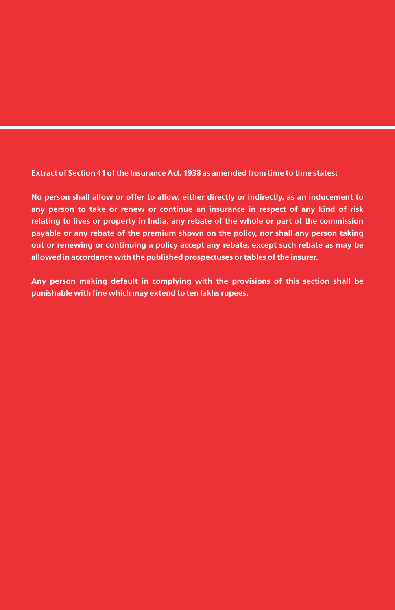**Extract of Section 41 of the Insurance Act, 1938 as amended from time to time states:**

**No person shall allow or offer to allow, either directly or indirectly, as an inducement to any person to take or renew or continue an insurance in respect of any kind of risk relating to lives or property in India, any rebate of the whole or part of the commission payable or any rebate of the premium shown on the policy, nor shall any person taking out or renewing or continuing a policy accept any rebate, except such rebate as may be allowed in accordance with the published prospectuses or tables of the insurer.**

**Any person making default in complying with the provisions of this section shall be punishable with fine which may extend to ten lakhs rupees.**